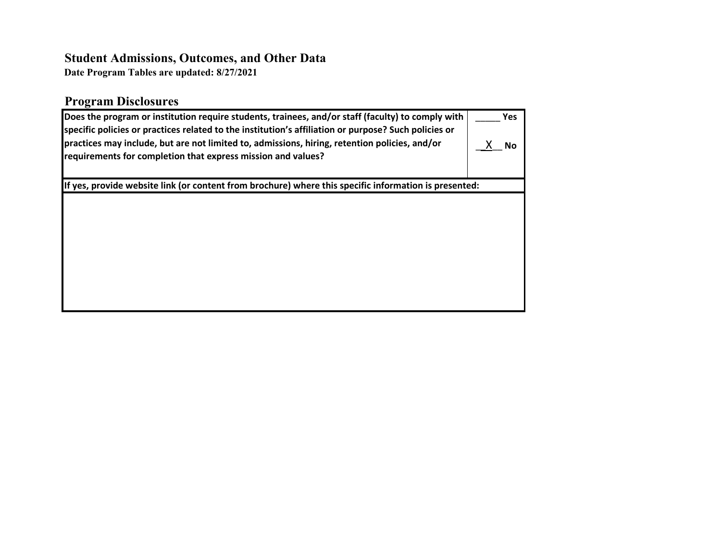## **Student Admissions, Outcomes, and Other Data**

**Date Program Tables are updated: 8/27/2021**

## **Program Disclosures**

| Does the program or institution require students, trainees, and/or staff (faculty) to comply with<br>specific policies or practices related to the institution's affiliation or purpose? Such policies or<br>practices may include, but are not limited to, admissions, hiring, retention policies, and/or<br>requirements for completion that express mission and values? | <b>Yes</b><br>Nο |
|----------------------------------------------------------------------------------------------------------------------------------------------------------------------------------------------------------------------------------------------------------------------------------------------------------------------------------------------------------------------------|------------------|
| If yes, provide website link (or content from brochure) where this specific information is presented:                                                                                                                                                                                                                                                                      |                  |
|                                                                                                                                                                                                                                                                                                                                                                            |                  |
|                                                                                                                                                                                                                                                                                                                                                                            |                  |
|                                                                                                                                                                                                                                                                                                                                                                            |                  |
|                                                                                                                                                                                                                                                                                                                                                                            |                  |
|                                                                                                                                                                                                                                                                                                                                                                            |                  |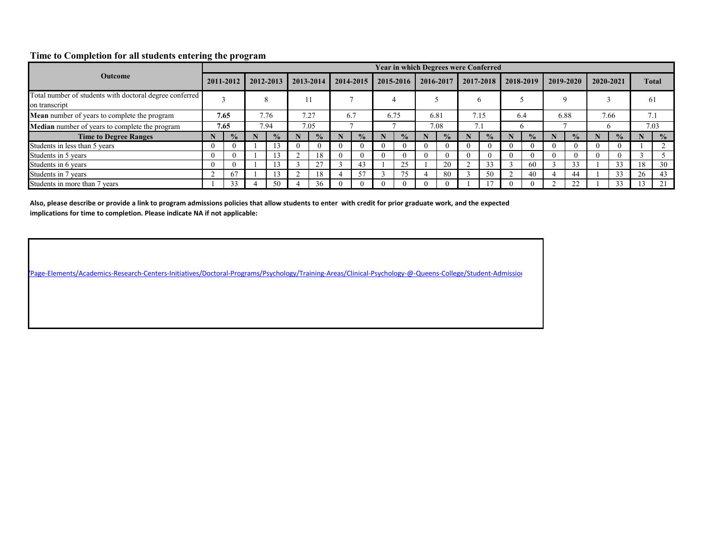## **Time to Completion for all students entering the program**

|                                                                          |          |               |      |               |          |               |     |               |               |          |               |           | <b>Year in which Degrees were Conferred</b> |           |               |           |               |               |                   |               |
|--------------------------------------------------------------------------|----------|---------------|------|---------------|----------|---------------|-----|---------------|---------------|----------|---------------|-----------|---------------------------------------------|-----------|---------------|-----------|---------------|---------------|-------------------|---------------|
| <b>Outcome</b>                                                           |          | 2011-2012     |      | 2012-2013     |          | 2013-2014     |     | 2014-2015     | 2015-2016     |          | 2016-2017     | 2017-2018 |                                             | 2018-2019 |               | 2019-2020 |               | 2020-2021     |                   | <b>Total</b>  |
| Total number of students with doctoral degree conferred<br>on transcript |          |               |      |               |          |               |     |               |               |          |               |           |                                             |           |               |           |               |               | 61                |               |
| <b>Mean</b> number of years to complete the program                      |          | 7.65          |      | 7.76          |          | 7.27          | 6.7 |               | 6.75          |          | 6.81          |           | 7.15                                        |           | 6.4           |           | 6.88          | 7.66          | 7.1               |               |
| Median number of years to complete the program                           |          | 7.65          | 7.94 |               |          | 7.05          |     |               |               |          | 7.08          |           | 7.1                                         |           |               |           |               |               |                   | 7.03          |
| <b>Time to Degree Ranges</b>                                             |          | $\frac{1}{2}$ |      | $\frac{6}{9}$ |          | $\frac{1}{2}$ |     | $\frac{1}{2}$ | $\frac{6}{9}$ |          | $\frac{1}{2}$ |           | $\frac{6}{9}$                               |           | $\frac{1}{2}$ |           | $\frac{1}{2}$ | $\frac{1}{2}$ |                   | $\frac{1}{2}$ |
| Students in less than 5 years                                            | -0       |               |      |               | $\theta$ |               | O   |               |               | $\theta$ |               |           |                                             |           |               |           |               |               |                   |               |
| Students in 5 years                                                      |          |               |      |               |          |               |     | $\Omega$      |               | $\theta$ |               |           | -0                                          |           |               |           |               | $\left($      |                   |               |
| Students in 6 years                                                      | $\Omega$ |               |      |               |          | 27            |     | 43            |               |          | 20            |           | 33                                          |           | -60           |           | 33            | 33            | 18                | 30            |
| Students in 7 years                                                      |          | 67            |      |               |          |               | 4   | 57            |               |          | -80           |           | 50                                          |           | 40            |           | 44            | 33            | 26                | 43            |
| Students in more than 7 years                                            |          | 33            |      | 50            |          | 36            | -0  |               |               | $\theta$ |               |           |                                             |           |               |           | 22            | 33            | $\sqrt{ }$<br>.3. | 21            |

**Also, please describe or provide a link to program admissions policies that allow students to enter with credit for prior graduate work, and the expected implications for time to completion. Please indicate NA if not applicable:**

[/Page-Elements/Academics-Research-Centers-Initiatives/D](https://www.gc.cuny.edu/Page-Elements/Academics-Research-Centers-Initiatives/Doctoral-Programs/Psychology/Training-Areas/Clinical-Psychology-@-Queens-College/Student-Admissions,-Outcomes,-Other-Data)octoral-Programs/Psychology/Training-Areas/Clinical-Psychology-@-Queens-College/Student-Admission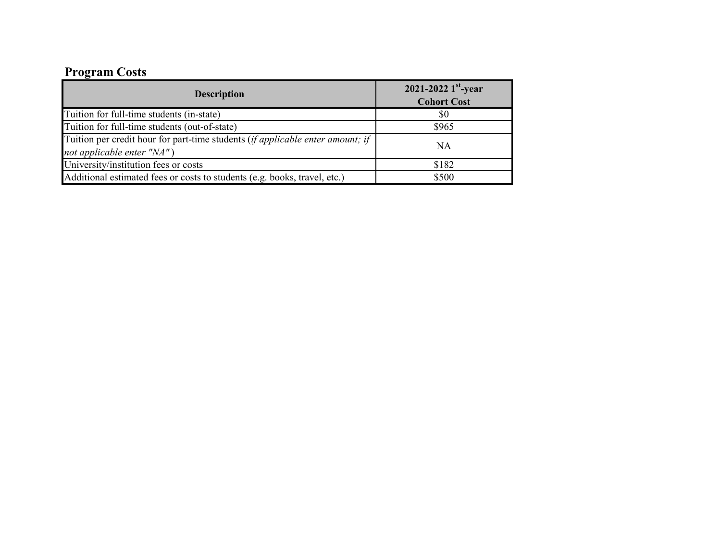# **Program Costs**

| 2021-2022 $1^{\rm st}$ -year<br><b>Cohort Cost</b> |
|----------------------------------------------------|
| \$0                                                |
| \$965                                              |
| <b>NA</b>                                          |
| \$182                                              |
| \$500                                              |
|                                                    |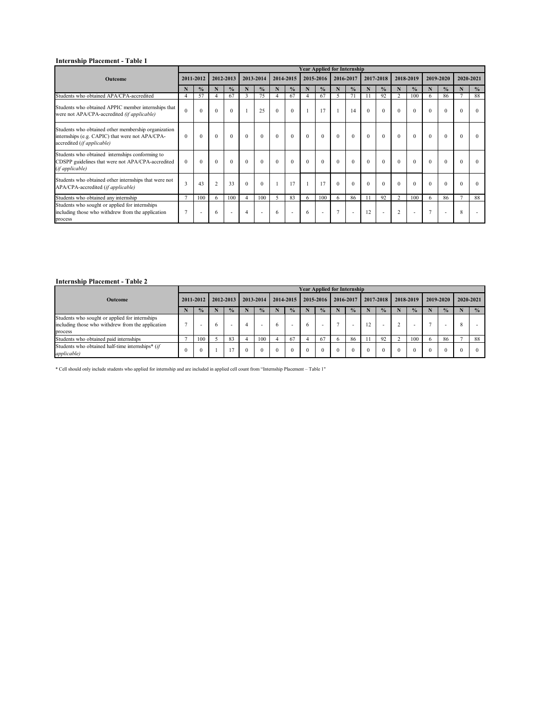|                                                                                                                                      |                |                          |                |                |                  |               |                  |                          |                | <b>Year Applied for Internship</b> |                |               |                |                          |                |                          |                |               |           |               |
|--------------------------------------------------------------------------------------------------------------------------------------|----------------|--------------------------|----------------|----------------|------------------|---------------|------------------|--------------------------|----------------|------------------------------------|----------------|---------------|----------------|--------------------------|----------------|--------------------------|----------------|---------------|-----------|---------------|
| Outcome                                                                                                                              |                | 2011-2012                |                | 2012-2013      |                  | 2013-2014     |                  | 2014-2015                |                | 2015-2016                          | 2016-2017      |               |                | 2017-2018                |                | 2018-2019                |                | 2019-2020     | 2020-2021 |               |
|                                                                                                                                      | N              | $\frac{0}{0}$            | N              | $\frac{6}{6}$  | N                | $\frac{0}{0}$ |                  | $\frac{0}{0}$            | N              | $\frac{0}{0}$                      | N              | $\frac{6}{6}$ | N              | $\frac{0}{0}$            | N              | $\frac{0}{0}$            | N              | $\frac{0}{0}$ |           | $\frac{0}{0}$ |
| Students who obtained APA/CPA-accredited                                                                                             |                | 57                       | $\overline{4}$ | 67             | $\overline{3}$   | 75            |                  | 67                       | $\overline{4}$ | 67                                 | 5              | 71            |                | 92                       | $\overline{2}$ | 100                      | 6              | 86            |           | 88            |
| Students who obtained APPIC member internships that<br>were not APA/CPA-accredited (if applicable)                                   | $\theta$       | $\theta$                 | $\mathbf{0}$   | $\theta$       |                  | 25            | $\overline{0}$   | $\theta$                 |                | 17                                 |                | 14            | $\overline{0}$ | $\mathbf{0}$             |                | $\boldsymbol{0}$         | $\mathbf{0}$   | $\Omega$      | $\Omega$  |               |
| Students who obtained other membership organization<br>internships (e.g. CAPIC) that were not APA/CPA-<br>accredited (if applicable) | $\theta$       | $\mathbf{0}$             | $\overline{0}$ | $\overline{0}$ | $\boldsymbol{0}$ | $\mathbf{0}$  | $\boldsymbol{0}$ | $\mathbf{0}$             | $\overline{0}$ | $\mathbf{0}$                       | $\mathbf{0}$   | $\theta$      | $\mathbf{0}$   | $\theta$                 | $\mathbf{0}$   | $\boldsymbol{0}$         | $\mathbf{0}$   | $\Omega$      | $\Omega$  |               |
| Students who obtained internships conforming to<br>CDSPP guidelines that were not APA/CPA-accredited<br>(if applicable)              | $\overline{0}$ | $\Omega$                 | $\theta$       | $\mathbf{0}$   | $\mathbf{0}$     | $\theta$      | $\overline{0}$   | $\mathbf{0}$             | $\Omega$       | $\theta$                           | $\mathbf{0}$   | $\Omega$      | $\overline{0}$ | $\theta$                 |                | $\boldsymbol{0}$         | $\mathbf{0}$   | $\theta$      | $\Omega$  |               |
| Students who obtained other internships that were not<br>APA/CPA-accredited (if applicable)                                          | 3              | 43                       | $\overline{2}$ | 33             | $\theta$         | $\mathbf{0}$  |                  | 17                       |                | 17                                 | $\overline{0}$ | $\Omega$      | $\overline{0}$ | $\theta$                 |                | $\mathbf{0}$             | $\mathbf{0}$   | $\theta$      | $\Omega$  |               |
| Students who obtained any internship                                                                                                 |                | 100                      | 6              | 100            | $\overline{4}$   | 100           | 5                | 83                       | 6              | 100                                | 6              | 86            |                | 92                       | $\overline{2}$ | 100                      | 6              | 86            |           | 88            |
| Students who sought or applied for internships<br>including those who withdrew from the application<br>process                       |                | $\overline{\phantom{a}}$ | 6              |                | $\overline{4}$   |               | 6                | $\overline{\phantom{a}}$ | 6              | $\sim$                             | $\overline{7}$ |               | 12             | $\overline{\phantom{a}}$ | $\overline{2}$ | $\overline{\phantom{0}}$ | $\overline{ }$ |               | 8         |               |

## **Internship Placement - Table 2**

|                                                                                                                |               |   |               |               |           |               |          |                          | <b>Year Applied for Internship</b> |               |           |               |                          |           |               |   |               |
|----------------------------------------------------------------------------------------------------------------|---------------|---|---------------|---------------|-----------|---------------|----------|--------------------------|------------------------------------|---------------|-----------|---------------|--------------------------|-----------|---------------|---|---------------|
| <b>Outcome</b>                                                                                                 | 2011-2012     |   | 2012-2013     | 2013-2014     | 2014-2015 |               |          | 2015-2016                | 2016-2017                          |               | 2017-2018 |               | 2018-2019                | 2019-2020 |               |   | 2020-2021     |
|                                                                                                                | $\frac{1}{2}$ |   | $\frac{0}{2}$ | $\frac{0}{2}$ |           | $\frac{1}{2}$ |          | $\frac{1}{2}$            |                                    | $\frac{1}{2}$ |           | $\frac{0}{0}$ | $\frac{0}{0}$            |           | $\frac{1}{2}$ |   | $\frac{1}{2}$ |
| Students who sought or applied for internships<br>including those who withdrew from the application<br>process |               | O |               | $\sim$        |           | $\sim$        |          | $\overline{\phantom{0}}$ |                                    |               | 12        | $\sim$        | $\overline{\phantom{0}}$ |           |               | € |               |
| Students who obtained paid internships                                                                         | 100           |   | 83            | 100           |           | 67            |          | 67                       |                                    | 86            |           | 92            | 100                      |           | 86            |   | 88            |
| Students who obtained half-time internships* (if<br><i>applicable</i> )                                        |               |   |               |               |           | $\Omega$      | $^{(1)}$ |                          | $\Omega$                           |               |           |               | O                        |           |               |   |               |

\* Cell should only include students who applied for internship and are included in applied cell count from "Internship Placement – Table 1"

## **Internship Placement - Table 1**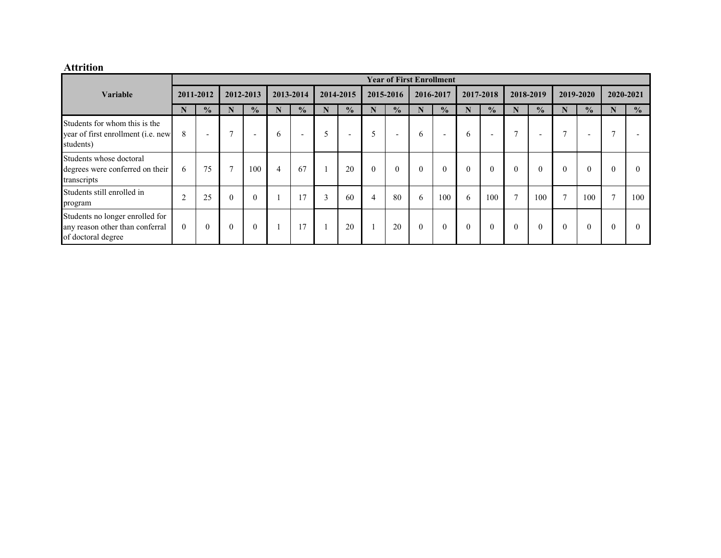## **Attrition**

|                                                                                          |                |                          |                |                          |                |                          |                |                          |              | <b>Year of First Enrollment</b> |                |                          |              |                          |               |                          |               |               |                  |               |
|------------------------------------------------------------------------------------------|----------------|--------------------------|----------------|--------------------------|----------------|--------------------------|----------------|--------------------------|--------------|---------------------------------|----------------|--------------------------|--------------|--------------------------|---------------|--------------------------|---------------|---------------|------------------|---------------|
| <b>Variable</b>                                                                          |                | 2011-2012                |                | 2012-2013                |                | 2013-2014                |                | 2014-2015                |              | 2015-2016                       |                | 2016-2017                |              | 2017-2018                |               | 2018-2019                |               | 2019-2020     |                  | 2020-2021     |
|                                                                                          | N              | $\frac{1}{2}$            | N              | $\frac{0}{0}$            | N              | $\frac{0}{0}$            | N              | $\frac{0}{0}$            | N            | $\frac{1}{2}$                   | N              | $\frac{0}{0}$            | N            | $\frac{1}{2}$            | N             | $\frac{1}{2}$            | N             | $\frac{0}{0}$ | N                | $\frac{0}{0}$ |
| Students for whom this is the<br>year of first enrollment (i.e. new<br>students)         | 8              | $\overline{\phantom{0}}$ | $\overline{ }$ | $\overline{\phantom{0}}$ | $\sigma$       | $\overline{\phantom{0}}$ | 5              | $\overline{\phantom{0}}$ | 5            | $\overline{\phantom{0}}$        | $\sigma$       | $\overline{\phantom{0}}$ | 6            | $\overline{\phantom{0}}$ | $\mathbf{r}$  | $\overline{\phantom{0}}$ | $\mathbf{r}$  |               | $\mathbf{\tau}$  |               |
| Students whose doctoral<br>degrees were conferred on their<br>transcripts                | 6              | 75                       | $\overline{ }$ | 100                      | $\overline{4}$ | 67                       |                | 20                       | $\mathbf{0}$ | $\overline{0}$                  | $\overline{0}$ | $\boldsymbol{0}$         | $\mathbf{0}$ | $\mathbf{0}$             | $\mathbf{0}$  |                          | $\mathbf{0}$  | $\theta$      | $\boldsymbol{0}$ | $\theta$      |
| Students still enrolled in<br>program                                                    | $\sim$         | 25                       | $\overline{0}$ | $\overline{0}$           |                | 17                       | $\overline{3}$ | 60                       | 4            | 80                              | 6              | 100                      | 6            | 100                      | $\mathcal{I}$ | 100                      | $\mathcal{L}$ | 100           | $\overline{7}$   | 100           |
| Students no longer enrolled for<br>any reason other than conferral<br>of doctoral degree | $\overline{0}$ | $\theta$                 | $\overline{0}$ | $\theta$                 |                |                          |                | 20                       |              | 20                              | $\mathbf{0}$   | $\overline{0}$           | $\mathbf{0}$ | $\mathbf{0}$             | $\mathbf{0}$  |                          | $\theta$      | $\Omega$      | $\theta$         | $\theta$      |